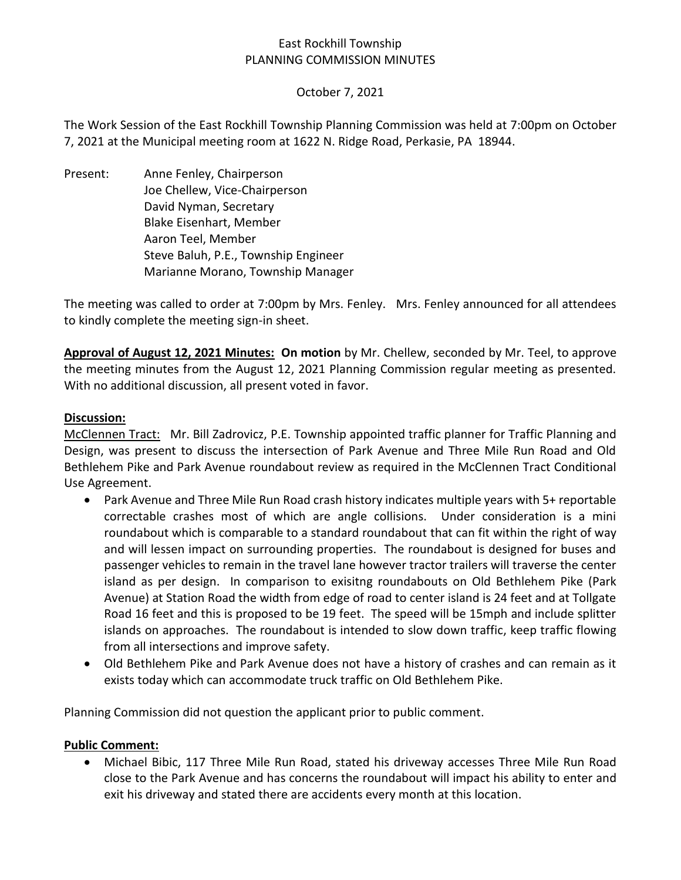## East Rockhill Township PLANNING COMMISSION MINUTES

## October 7, 2021

The Work Session of the East Rockhill Township Planning Commission was held at 7:00pm on October 7, 2021 at the Municipal meeting room at 1622 N. Ridge Road, Perkasie, PA 18944.

Present: Anne Fenley, Chairperson Joe Chellew, Vice-Chairperson David Nyman, Secretary Blake Eisenhart, Member Aaron Teel, Member Steve Baluh, P.E., Township Engineer Marianne Morano, Township Manager

The meeting was called to order at 7:00pm by Mrs. Fenley. Mrs. Fenley announced for all attendees to kindly complete the meeting sign-in sheet.

**Approval of August 12, 2021 Minutes: On motion** by Mr. Chellew, seconded by Mr. Teel, to approve the meeting minutes from the August 12, 2021 Planning Commission regular meeting as presented. With no additional discussion, all present voted in favor.

## **Discussion:**

McClennen Tract: Mr. Bill Zadrovicz, P.E. Township appointed traffic planner for Traffic Planning and Design, was present to discuss the intersection of Park Avenue and Three Mile Run Road and Old Bethlehem Pike and Park Avenue roundabout review as required in the McClennen Tract Conditional Use Agreement.

- Park Avenue and Three Mile Run Road crash history indicates multiple years with 5+ reportable correctable crashes most of which are angle collisions. Under consideration is a mini roundabout which is comparable to a standard roundabout that can fit within the right of way and will lessen impact on surrounding properties. The roundabout is designed for buses and passenger vehicles to remain in the travel lane however tractor trailers will traverse the center island as per design. In comparison to exisitng roundabouts on Old Bethlehem Pike (Park Avenue) at Station Road the width from edge of road to center island is 24 feet and at Tollgate Road 16 feet and this is proposed to be 19 feet. The speed will be 15mph and include splitter islands on approaches. The roundabout is intended to slow down traffic, keep traffic flowing from all intersections and improve safety.
- Old Bethlehem Pike and Park Avenue does not have a history of crashes and can remain as it exists today which can accommodate truck traffic on Old Bethlehem Pike.

Planning Commission did not question the applicant prior to public comment.

## **Public Comment:**

• Michael Bibic, 117 Three Mile Run Road, stated his driveway accesses Three Mile Run Road close to the Park Avenue and has concerns the roundabout will impact his ability to enter and exit his driveway and stated there are accidents every month at this location.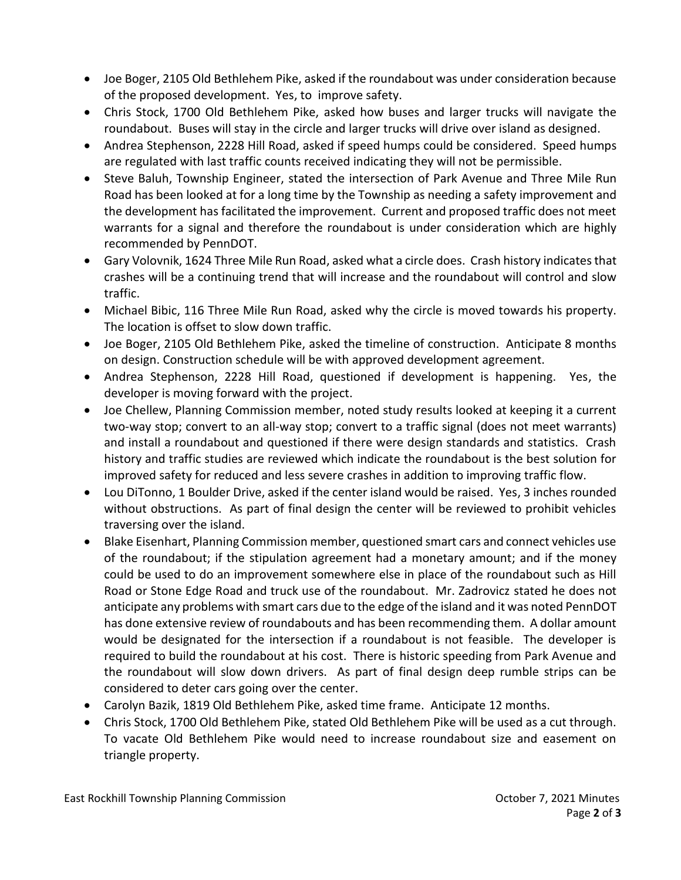- Joe Boger, 2105 Old Bethlehem Pike, asked if the roundabout was under consideration because of the proposed development. Yes, to improve safety.
- Chris Stock, 1700 Old Bethlehem Pike, asked how buses and larger trucks will navigate the roundabout. Buses will stay in the circle and larger trucks will drive over island as designed.
- Andrea Stephenson, 2228 Hill Road, asked if speed humps could be considered. Speed humps are regulated with last traffic counts received indicating they will not be permissible.
- Steve Baluh, Township Engineer, stated the intersection of Park Avenue and Three Mile Run Road has been looked at for a long time by the Township as needing a safety improvement and the development has facilitated the improvement. Current and proposed traffic does not meet warrants for a signal and therefore the roundabout is under consideration which are highly recommended by PennDOT.
- Gary Volovnik, 1624 Three Mile Run Road, asked what a circle does. Crash history indicates that crashes will be a continuing trend that will increase and the roundabout will control and slow traffic.
- Michael Bibic, 116 Three Mile Run Road, asked why the circle is moved towards his property. The location is offset to slow down traffic.
- Joe Boger, 2105 Old Bethlehem Pike, asked the timeline of construction. Anticipate 8 months on design. Construction schedule will be with approved development agreement.
- Andrea Stephenson, 2228 Hill Road, questioned if development is happening. Yes, the developer is moving forward with the project.
- Joe Chellew, Planning Commission member, noted study results looked at keeping it a current two-way stop; convert to an all-way stop; convert to a traffic signal (does not meet warrants) and install a roundabout and questioned if there were design standards and statistics. Crash history and traffic studies are reviewed which indicate the roundabout is the best solution for improved safety for reduced and less severe crashes in addition to improving traffic flow.
- Lou DiTonno, 1 Boulder Drive, asked if the center island would be raised. Yes, 3 inches rounded without obstructions. As part of final design the center will be reviewed to prohibit vehicles traversing over the island.
- Blake Eisenhart, Planning Commission member, questioned smart cars and connect vehicles use of the roundabout; if the stipulation agreement had a monetary amount; and if the money could be used to do an improvement somewhere else in place of the roundabout such as Hill Road or Stone Edge Road and truck use of the roundabout. Mr. Zadrovicz stated he does not anticipate any problems with smart cars due to the edge of the island and it was noted PennDOT has done extensive review of roundabouts and has been recommending them. A dollar amount would be designated for the intersection if a roundabout is not feasible. The developer is required to build the roundabout at his cost. There is historic speeding from Park Avenue and the roundabout will slow down drivers. As part of final design deep rumble strips can be considered to deter cars going over the center.
- Carolyn Bazik, 1819 Old Bethlehem Pike, asked time frame. Anticipate 12 months.
- Chris Stock, 1700 Old Bethlehem Pike, stated Old Bethlehem Pike will be used as a cut through. To vacate Old Bethlehem Pike would need to increase roundabout size and easement on triangle property.